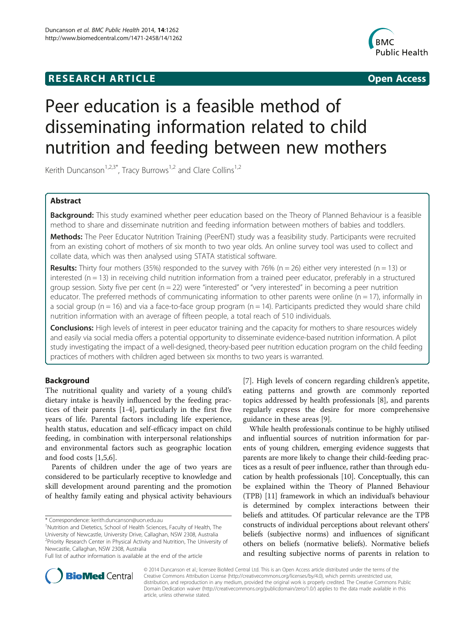# **RESEARCH ARTICLE Example 2014 CONSIDERING CONSIDERING CONSIDERING CONSIDERING CONSIDERING CONSIDERING CONSIDERING CONSIDERING CONSIDERING CONSIDERING CONSIDERING CONSIDERING CONSIDERING CONSIDERING CONSIDERING CONSIDE**



# Peer education is a feasible method of disseminating information related to child nutrition and feeding between new mothers

Kerith Duncanson<sup>1,2,3\*</sup>, Tracy Burrows<sup>1,2</sup> and Clare Collins<sup>1,2</sup>

# Abstract

Background: This study examined whether peer education based on the Theory of Planned Behaviour is a feasible method to share and disseminate nutrition and feeding information between mothers of babies and toddlers.

Methods: The Peer Educator Nutrition Training (PeerENT) study was a feasibility study. Participants were recruited from an existing cohort of mothers of six month to two year olds. An online survey tool was used to collect and collate data, which was then analysed using STATA statistical software.

**Results:** Thirty four mothers (35%) responded to the survey with 76% (n = 26) either very interested (n = 13) or interested ( $n = 13$ ) in receiving child nutrition information from a trained peer educator, preferably in a structured group session. Sixty five per cent ( $n = 22$ ) were "interested" or "very interested" in becoming a peer nutrition educator. The preferred methods of communicating information to other parents were online ( $n = 17$ ), informally in a social group ( $n = 16$ ) and via a face-to-face group program ( $n = 14$ ). Participants predicted they would share child nutrition information with an average of fifteen people, a total reach of 510 individuals.

**Conclusions:** High levels of interest in peer educator training and the capacity for mothers to share resources widely and easily via social media offers a potential opportunity to disseminate evidence-based nutrition information. A pilot study investigating the impact of a well-designed, theory-based peer nutrition education program on the child feeding practices of mothers with children aged between six months to two years is warranted.

# Background

The nutritional quality and variety of a young child's dietary intake is heavily influenced by the feeding practices of their parents [[1-4](#page-5-0)], particularly in the first five years of life. Parental factors including life experience, health status, education and self-efficacy impact on child feeding, in combination with interpersonal relationships and environmental factors such as geographic location and food costs [\[1,5,6](#page-5-0)].

Parents of children under the age of two years are considered to be particularly receptive to knowledge and skill development around parenting and the promotion of healthy family eating and physical activity behaviours

\* Correspondence: [kerith.duncanson@uon.edu.au](mailto:kerith.duncanson@uon.edu.au) <sup>1</sup>

<sup>1</sup>Nutrition and Dietetics, School of Health Sciences, Faculty of Health, The University of Newcastle, University Drive, Callaghan, NSW 2308, Australia <sup>2</sup> Priority Research Center in Physical Activity and Nutrition, The University of Newcastle, Callaghan, NSW 2308, Australia

[[7\]](#page-5-0). High levels of concern regarding children's appetite, eating patterns and growth are commonly reported topics addressed by health professionals [\[8](#page-5-0)], and parents regularly express the desire for more comprehensive guidance in these areas [[9\]](#page-5-0).

While health professionals continue to be highly utilised and influential sources of nutrition information for parents of young children, emerging evidence suggests that parents are more likely to change their child-feeding practices as a result of peer influence, rather than through education by health professionals [[10\]](#page-5-0). Conceptually, this can be explained within the Theory of Planned Behaviour (TPB) [\[11\]](#page-5-0) framework in which an individual's behaviour is determined by complex interactions between their beliefs and attitudes. Of particular relevance are the TPB constructs of individual perceptions about relevant others' beliefs (subjective norms) and influences of significant others on beliefs (normative beliefs). Normative beliefs and resulting subjective norms of parents in relation to



© 2014 Duncanson et al.; licensee BioMed Central Ltd. This is an Open Access article distributed under the terms of the Creative Commons Attribution License (<http://creativecommons.org/licenses/by/4.0>), which permits unrestricted use, distribution, and reproduction in any medium, provided the original work is properly credited. The Creative Commons Public Domain Dedication waiver [\(http://creativecommons.org/publicdomain/zero/1.0/\)](http://creativecommons.org/publicdomain/zero/1.0/) applies to the data made available in this article, unless otherwise stated.

Full list of author information is available at the end of the article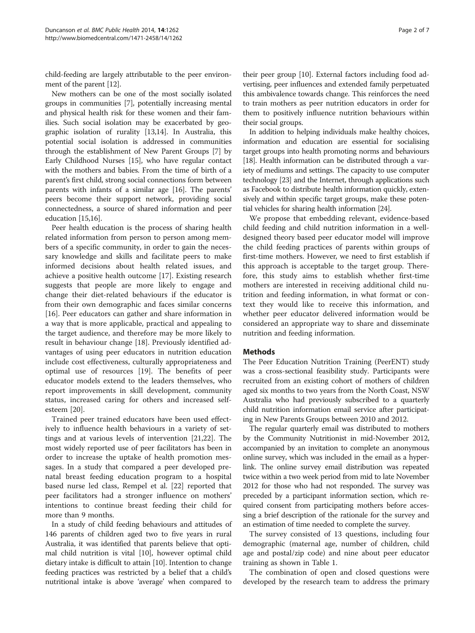child-feeding are largely attributable to the peer environment of the parent [\[12\]](#page-5-0).

New mothers can be one of the most socially isolated groups in communities [[7\]](#page-5-0), potentially increasing mental and physical health risk for these women and their families. Such social isolation may be exacerbated by geographic isolation of rurality [\[13,14\]](#page-5-0). In Australia, this potential social isolation is addressed in communities through the establishment of New Parent Groups [\[7](#page-5-0)] by Early Childhood Nurses [\[15\]](#page-5-0), who have regular contact with the mothers and babies. From the time of birth of a parent's first child, strong social connections form between parents with infants of a similar age [\[16\]](#page-5-0). The parents' peers become their support network, providing social connectedness, a source of shared information and peer education [\[15,16\]](#page-5-0).

Peer health education is the process of sharing health related information from person to person among members of a specific community, in order to gain the necessary knowledge and skills and facilitate peers to make informed decisions about health related issues, and achieve a positive health outcome [\[17](#page-5-0)]. Existing research suggests that people are more likely to engage and change their diet-related behaviours if the educator is from their own demographic and faces similar concerns [[16\]](#page-5-0). Peer educators can gather and share information in a way that is more applicable, practical and appealing to the target audience, and therefore may be more likely to result in behaviour change [\[18](#page-5-0)]. Previously identified advantages of using peer educators in nutrition education include cost effectiveness, culturally appropriateness and optimal use of resources [\[19](#page-5-0)]. The benefits of peer educator models extend to the leaders themselves, who report improvements in skill development, community status, increased caring for others and increased selfesteem [\[20\]](#page-5-0).

Trained peer trained educators have been used effectively to influence health behaviours in a variety of settings and at various levels of intervention [[21,22\]](#page-5-0). The most widely reported use of peer facilitators has been in order to increase the uptake of health promotion messages. In a study that compared a peer developed prenatal breast feeding education program to a hospital based nurse led class, Rempel et al. [[22\]](#page-5-0) reported that peer facilitators had a stronger influence on mothers' intentions to continue breast feeding their child for more than 9 months.

In a study of child feeding behaviours and attitudes of 146 parents of children aged two to five years in rural Australia, it was identified that parents believe that optimal child nutrition is vital [\[10\]](#page-5-0), however optimal child dietary intake is difficult to attain [[10](#page-5-0)]. Intention to change feeding practices was restricted by a belief that a child's nutritional intake is above 'average' when compared to

their peer group [\[10\]](#page-5-0). External factors including food advertising, peer influences and extended family perpetuated this ambivalence towards change. This reinforces the need to train mothers as peer nutrition educators in order for them to positively influence nutrition behaviours within their social groups.

In addition to helping individuals make healthy choices, information and education are essential for socialising target groups into health promoting norms and behaviours [[18](#page-5-0)]. Health information can be distributed through a variety of mediums and settings. The capacity to use computer technology [\[23\]](#page-5-0) and the Internet, through applications such as Facebook to distribute health information quickly, extensively and within specific target groups, make these potential vehicles for sharing health information [[24](#page-5-0)].

We propose that embedding relevant, evidence-based child feeding and child nutrition information in a welldesigned theory based peer educator model will improve the child feeding practices of parents within groups of first-time mothers. However, we need to first establish if this approach is acceptable to the target group. Therefore, this study aims to establish whether first-time mothers are interested in receiving additional child nutrition and feeding information, in what format or context they would like to receive this information, and whether peer educator delivered information would be considered an appropriate way to share and disseminate nutrition and feeding information.

# Methods

The Peer Education Nutrition Training (PeerENT) study was a cross-sectional feasibility study. Participants were recruited from an existing cohort of mothers of children aged six months to two years from the North Coast, NSW Australia who had previously subscribed to a quarterly child nutrition information email service after participating in New Parents Groups between 2010 and 2012.

The regular quarterly email was distributed to mothers by the Community Nutritionist in mid-November 2012, accompanied by an invitation to complete an anonymous online survey, which was included in the email as a hyperlink. The online survey email distribution was repeated twice within a two week period from mid to late November 2012 for those who had not responded. The survey was preceded by a participant information section, which required consent from participating mothers before accessing a brief description of the rationale for the survey and an estimation of time needed to complete the survey.

The survey consisted of 13 questions, including four demographic (maternal age, number of children, child age and postal/zip code) and nine about peer educator training as shown in Table [1](#page-2-0).

The combination of open and closed questions were developed by the research team to address the primary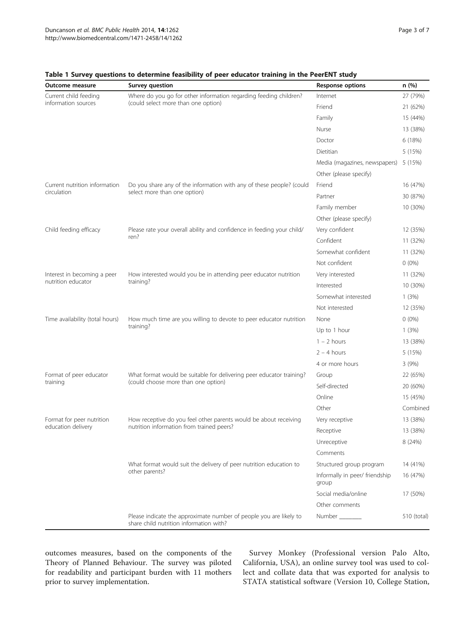| Outcome measure                                 | <b>Survey question</b>                                                                                        | <b>Response options</b>                 | n(%)        |
|-------------------------------------------------|---------------------------------------------------------------------------------------------------------------|-----------------------------------------|-------------|
| Current child feeding<br>information sources    | Where do you go for other information regarding feeding children?<br>(could select more than one option)      | Internet                                | 27 (79%)    |
|                                                 |                                                                                                               | Friend                                  | 21 (62%)    |
|                                                 |                                                                                                               | Family                                  | 15 (44%)    |
|                                                 |                                                                                                               | Nurse                                   | 13 (38%)    |
|                                                 |                                                                                                               | Doctor                                  | 6 (18%)     |
|                                                 |                                                                                                               | Dietitian                               | 5 (15%)     |
|                                                 |                                                                                                               | Media (magazines, newspapers)           | 5 (15%)     |
|                                                 |                                                                                                               | Other (please specify)                  |             |
| Current nutrition information<br>circulation    | Do you share any of the information with any of these people? (could<br>select more than one option)          | Friend                                  | 16 (47%)    |
|                                                 |                                                                                                               | Partner                                 | 30 (87%)    |
|                                                 |                                                                                                               | Family member                           | 10 (30%)    |
|                                                 |                                                                                                               | Other (please specify)                  |             |
| Child feeding efficacy                          | Please rate your overall ability and confidence in feeding your child/<br>ren?                                | Very confident                          | 12 (35%)    |
|                                                 |                                                                                                               | Confident                               | 11 (32%)    |
|                                                 |                                                                                                               | Somewhat confident                      | 11 (32%)    |
|                                                 |                                                                                                               | Not confident                           | $0(0\%)$    |
| Interest in becoming a peer                     | How interested would you be in attending peer educator nutrition<br>training?                                 | Very interested                         | 11 (32%)    |
| nutrition educator                              |                                                                                                               | Interested                              | 10 (30%)    |
|                                                 |                                                                                                               | Somewhat interested                     | 1(3%)       |
|                                                 |                                                                                                               | Not interested                          | 12 (35%)    |
| Time availability (total hours)                 | How much time are you willing to devote to peer educator nutrition<br>training?                               | None                                    | $0(0\%)$    |
|                                                 |                                                                                                               | Up to 1 hour                            | 1(3%)       |
|                                                 |                                                                                                               | $1 - 2$ hours                           | 13 (38%)    |
|                                                 |                                                                                                               | $2 - 4$ hours                           | 5 (15%)     |
|                                                 |                                                                                                               | 4 or more hours                         | 3(9%)       |
| Format of peer educator<br>training             | What format would be suitable for delivering peer educator training?<br>(could choose more than one option)   | Group                                   | 22 (65%)    |
|                                                 |                                                                                                               | Self-directed                           | 20 (60%)    |
|                                                 |                                                                                                               | Online                                  | 15 (45%)    |
|                                                 |                                                                                                               | Other                                   | Combined    |
| Format for peer nutrition<br>education delivery | How receptive do you feel other parents would be about receiving<br>nutrition information from trained peers? | Very receptive                          | 13 (38%)    |
|                                                 |                                                                                                               | Receptive                               | 13 (38%)    |
|                                                 |                                                                                                               | Unreceptive                             | 8 (24%)     |
|                                                 |                                                                                                               | Comments                                |             |
|                                                 | What format would suit the delivery of peer nutrition education to<br>other parents?                          | Structured group program                | 14 (41%)    |
|                                                 |                                                                                                               | Informally in peer/ friendship<br>group | 16 (47%)    |
|                                                 |                                                                                                               | Social media/online                     | 17 (50%)    |
|                                                 |                                                                                                               | Other comments                          |             |
|                                                 | Please indicate the approximate number of people you are likely to<br>share child nutrition information with? | Number                                  | 510 (total) |

# <span id="page-2-0"></span>Table 1 Survey questions to determine feasibility of peer educator training in the PeerENT study

outcomes measures, based on the components of the Theory of Planned Behaviour. The survey was piloted for readability and participant burden with 11 mothers prior to survey implementation.

Survey Monkey (Professional version Palo Alto, California, USA), an online survey tool was used to collect and collate data that was exported for analysis to STATA statistical software (Version 10, College Station,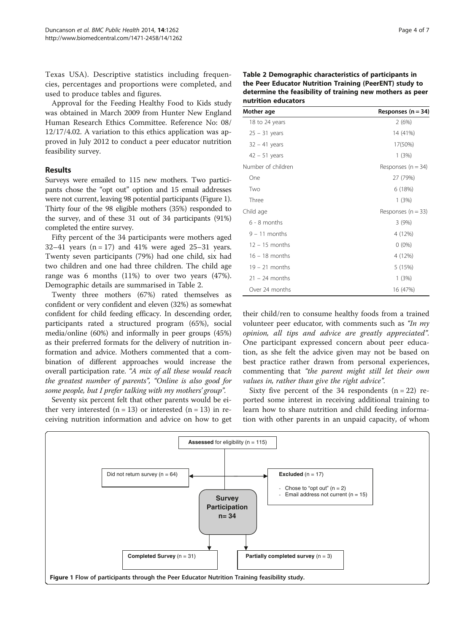Texas USA). Descriptive statistics including frequencies, percentages and proportions were completed, and used to produce tables and figures.

Approval for the Feeding Healthy Food to Kids study was obtained in March 2009 from Hunter New England Human Research Ethics Committee. Reference No: 08/ 12/17/4.02. A variation to this ethics application was approved in July 2012 to conduct a peer educator nutrition feasibility survey.

# Results

Surveys were emailed to 115 new mothers. Two participants chose the "opt out" option and 15 email addresses were not current, leaving 98 potential participants (Figure 1). Thirty four of the 98 eligible mothers (35%) responded to the survey, and of these 31 out of 34 participants (91%) completed the entire survey.

Fifty percent of the 34 participants were mothers aged 32–41 years  $(n = 17)$  and 41% were aged 25–31 years. Twenty seven participants (79%) had one child, six had two children and one had three children. The child age range was 6 months (11%) to over two years (47%). Demographic details are summarised in Table 2.

Twenty three mothers (67%) rated themselves as confident or very confident and eleven (32%) as somewhat confident for child feeding efficacy. In descending order, participants rated a structured program (65%), social media/online (60%) and informally in peer groups (45%) as their preferred formats for the delivery of nutrition information and advice. Mothers commented that a combination of different approaches would increase the overall participation rate. "A mix of all these would reach the greatest number of parents", "Online is also good for some people, but I prefer talking with my mothers' group".

Seventy six percent felt that other parents would be either very interested  $(n = 13)$  or interested  $(n = 13)$  in receiving nutrition information and advice on how to get

| Table 2 Demographic characteristics of participants in    |  |  |
|-----------------------------------------------------------|--|--|
| the Peer Educator Nutrition Training (PeerENT) study to   |  |  |
| determine the feasibility of training new mothers as peer |  |  |
| nutrition educators                                       |  |  |

| Mother age         | Responses $(n = 34)$   |  |
|--------------------|------------------------|--|
| 18 to 24 years     | 2(6%)                  |  |
| $25 - 31$ years    | 14 (41%)               |  |
| $32 - 41$ years    | 17(50%)                |  |
| $42 - 51$ years    | 1(3%)                  |  |
| Number of children | Responses ( $n = 34$ ) |  |
| One                | 27 (79%)               |  |
| Two                | 6 (18%)                |  |
| Three              | 1(3%)                  |  |
| Child age          | Responses ( $n = 33$ ) |  |
| $6 - 8$ months     | 3(9%)                  |  |
| $9 - 11$ months    | 4 (12%)                |  |
| $12 - 15$ months   | $0(0\%)$               |  |
| $16 - 18$ months   | 4 (12%)                |  |
| $19 - 21$ months   | 5 (15%)                |  |
| $21 - 24$ months   | 1(3%)                  |  |
| Over 24 months     | 16 (47%)               |  |

their child/ren to consume healthy foods from a trained volunteer peer educator, with comments such as "In my opinion, all tips and advice are greatly appreciated". One participant expressed concern about peer education, as she felt the advice given may not be based on best practice rather drawn from personal experiences, commenting that "the parent might still let their own values in, rather than give the right advice".

Sixty five percent of the 34 respondents  $(n = 22)$  reported some interest in receiving additional training to learn how to share nutrition and child feeding information with other parents in an unpaid capacity, of whom

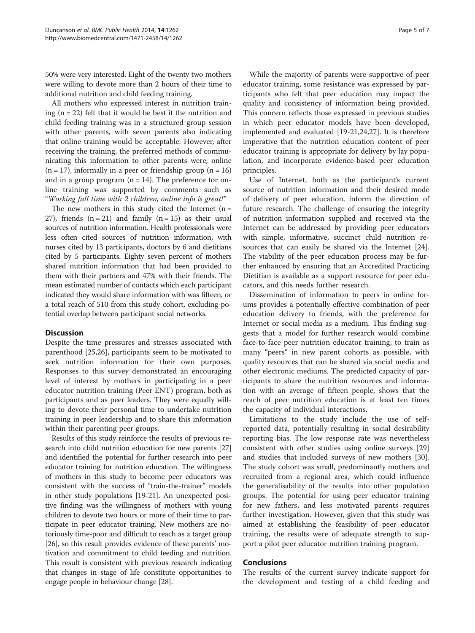50% were very interested. Eight of the twenty two mothers were willing to devote more than 2 hours of their time to additional nutrition and child feeding training.

All mothers who expressed interest in nutrition training  $(n = 22)$  felt that it would be best if the nutrition and child feeding training was in a structured group session with other parents, with seven parents also indicating that online training would be acceptable. However, after receiving the training, the preferred methods of communicating this information to other parents were; online  $(n = 17)$ , informally in a peer or friendship group  $(n = 16)$ and in a group program  $(n = 14)$ . The preference for online training was supported by comments such as "Working full time with 2 children, online info is great!"

The new mothers in this study cited the Internet  $(n =$ 27), friends  $(n = 21)$  and family  $(n = 15)$  as their usual sources of nutrition information. Health professionals were less often cited sources of nutrition information, with nurses cited by 13 participants, doctors by 6 and dietitians cited by 5 participants. Eighty seven percent of mothers shared nutrition information that had been provided to them with their partners and 47% with their friends. The mean estimated number of contacts which each participant indicated they would share information with was fifteen, or a total reach of 510 from this study cohort, excluding potential overlap between participant social networks.

# **Discussion**

Despite the time pressures and stresses associated with parenthood [[25,26\]](#page-6-0), participants seem to be motivated to seek nutrition information for their own purposes. Responses to this survey demonstrated an encouraging level of interest by mothers in participating in a peer educator nutrition training (Peer ENT) program, both as participants and as peer leaders. They were equally willing to devote their personal time to undertake nutrition training in peer leadership and to share this information within their parenting peer groups.

Results of this study reinforce the results of previous research into child nutrition education for new parents [[27](#page-6-0)] and identified the potential for further research into peer educator training for nutrition education. The willingness of mothers in this study to become peer educators was consistent with the success of "train-the-trainer" models in other study populations [[19-21\]](#page-5-0). An unexpected positive finding was the willingness of mothers with young children to devote two hours or more of their time to participate in peer educator training. New mothers are notoriously time-poor and difficult to reach as a target group [[26](#page-6-0)], so this result provides evidence of these parents' motivation and commitment to child feeding and nutrition. This result is consistent with previous research indicating that changes in stage of life constitute opportunities to engage people in behaviour change [[28\]](#page-6-0).

While the majority of parents were supportive of peer educator training, some resistance was expressed by participants who felt that peer education may impact the quality and consistency of information being provided. This concern reflects those expressed in previous studies in which peer educator models have been developed, implemented and evaluated [[19-21,24,](#page-5-0)[27\]](#page-6-0). It is therefore imperative that the nutrition education content of peer educator training is appropriate for delivery by lay population, and incorporate evidence-based peer education principles.

Use of Internet, both as the participant's current source of nutrition information and their desired mode of delivery of peer education, inform the direction of future research. The challenge of ensuring the integrity of nutrition information supplied and received via the Internet can be addressed by providing peer educators with simple, informative, succinct child nutrition resources that can easily be shared via the Internet [\[24](#page-5-0)]. The viability of the peer education process may be further enhanced by ensuring that an Accredited Practicing Dietitian is available as a support resource for peer educators, and this needs further research.

Dissemination of information to peers in online forums provides a potentially effective combination of peer education delivery to friends, with the preference for Internet or social media as a medium. This finding suggests that a model for further research would combine face-to-face peer nutrition educator training, to train as many "peers" in new parent cohorts as possible, with quality resources that can be shared via social media and other electronic mediums. The predicted capacity of participants to share the nutrition resources and information with an average of fifteen people, shows that the reach of peer nutrition education is at least ten times the capacity of individual interactions.

Limitations to the study include the use of selfreported data, potentially resulting in social desirability reporting bias. The low response rate was nevertheless consistent with other studies using online surveys [[29](#page-6-0)] and studies that included surveys of new mothers [\[30](#page-6-0)]. The study cohort was small, predominantly mothers and recruited from a regional area, which could influence the generalisability of the results into other population groups. The potential for using peer educator training for new fathers, and less motivated parents requires further investigation. However, given that this study was aimed at establishing the feasibility of peer educator training, the results were of adequate strength to support a pilot peer educator nutrition training program.

#### Conclusions

The results of the current survey indicate support for the development and testing of a child feeding and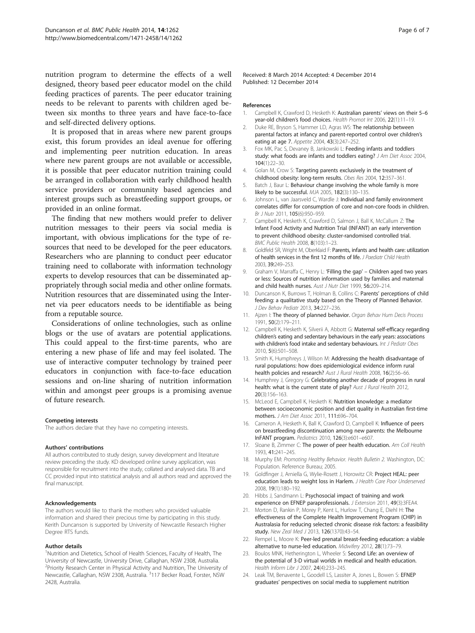<span id="page-5-0"></span>nutrition program to determine the effects of a well designed, theory based peer educator model on the child feeding practices of parents. The peer educator training needs to be relevant to parents with children aged between six months to three years and have face-to-face and self-directed delivery options.

It is proposed that in areas where new parent groups exist, this forum provides an ideal avenue for offering and implementing peer nutrition education. In areas where new parent groups are not available or accessible, it is possible that peer educator nutrition training could be arranged in collaboration with early childhood health service providers or community based agencies and interest groups such as breastfeeding support groups, or provided in an online format.

The finding that new mothers would prefer to deliver nutrition messages to their peers via social media is important, with obvious implications for the type of resources that need to be developed for the peer educators. Researchers who are planning to conduct peer educator training need to collaborate with information technology experts to develop resources that can be disseminated appropriately through social media and other online formats. Nutrition resources that are disseminated using the Internet via peer educators needs to be identifiable as being from a reputable source.

Considerations of online technologies, such as online blogs or the use of avatars are potential applications. This could appeal to the first-time parents, who are entering a new phase of life and may feel isolated. The use of interactive computer technology by trained peer educators in conjunction with face-to-face education sessions and on-line sharing of nutrition information within and amongst peer groups is a promising avenue of future research.

#### Competing interests

The authors declare that they have no competing interests.

#### Authors' contributions

All authors contributed to study design, survey development and literature review preceding the study. KD developed online survey application, was responsible for recruitment into the study, collated and analysed data. TB and CC provided input into statistical analysis and all authors read and approved the final manuscript.

#### Acknowledgements

The authors would like to thank the mothers who provided valuable information and shared their precious time by participating in this study. Kerith Duncanson is supported by University of Newcastle Research Higher Degree RTS funds.

#### Author details

<sup>1</sup>Nutrition and Dietetics, School of Health Sciences, Faculty of Health, The University of Newcastle, University Drive, Callaghan, NSW 2308, Australia. <sup>2</sup> Priority Research Center in Physical Activity and Nutrition, The University of Newcastle, Callaghan, NSW 2308, Australia. <sup>3</sup>117 Becker Road, Forster, NSW 2428, Australia.

Received: 8 March 2014 Accepted: 4 December 2014 Published: 12 December 2014

#### References

- 1. Campbell K, Crawford D, Hesketh K: Australian parents' views on their 5-6 year-old children's food choices. Health Promot Int 2006, 22(1):11–19.
- 2. Duke RE, Bryson S, Hammer LD, Agras WS: The relationship between parental factors at infancy and parent-reported control over children's eating at age 7. Appetite 2004, 43(3):247–252.
- 3. Fox MK, Pac S, Devaney B, Jankowski L: Feeding infants and toddlers study: what foods are infants and toddlers eating? J Am Diet Assoc 2004, 104(1):22–30.
- 4. Golan M, Crow S: Targeting parents exclusively in the treatment of childhood obesity: long-term results. Obes Res 2004, 12:357–361.
- 5. Batch J, Baur L: Behaviour change involving the whole family is more likely to be successful. MJA 2005, 182(3):130–135.
- 6. Johnson L, van Jaarsveld C, Wardle J: Individual and family environment correlates differ for consumption of core and non-core foods in children. Br J Nutr 2011, 105(6):950–959.
- 7. Campbell K, Hesketh K, Crawford D, Salmon J, Ball K, McCallum Z: The Infant Food Activity and Nutrition Trial (INFANT) an early intervention to prevent childhood obesity: cluster-randomised controlled trial. BMC Public Health 2008, 8(103):1–23.
- 8. Goldfeld SR, Wright M, Oberklaid F: Parents, infants and health care: utilization of health services in the first 12 months of life. J Paediatr Child Health 2003, 39:249–253.
- 9. Graham V, Marraffa C, Henry L: 'Filling the gap' Children aged two years or less: Sources of nutrition information used by families and maternal and child health nurses. Aust J Nutr Diet 1999, 56:209–214.
- 10. Duncanson K, Burrows T, Holman B, Collins C: Parents' perceptions of child feeding: a qualitative study based on the Theory of Planned Behavior. J Dev Behav Pediatr 2013, 34:227–236.
- 11. Ajzen I: The theory of planned behavior. Organ Behav Hum Decis Process 1991, 50(2):179–211.
- 12. Campbell K, Hesketh K, Silverii A, Abbott G: Maternal self-efficacy regarding children's eating and sedentary behaviours in the early years: associations with children's food intake and sedentary behaviours. Int J Pediatr Obes 2010, 5(6):501–508.
- 13. Smith K, Humphreys J, Wilson M: Addressing the health disadvantage of rural populations: how does epidemiological evidence inform rural health policies and research? Aust J Rural Health 2008, 16(2):56-66.
- 14. Humphrey J, Gregory G: Celebrating another decade of progress in rural health: what is the current state of play? Aust J Rural Health 2012, 20(3):156–163.
- 15. McLeod E, Campbell K, Hesketh K: Nutrition knowledge: a mediator between socioeconomic position and diet quality in Australian first-time mothers. J Am Diet Assoc 2011, 111:696–704.
- 16. Cameron A, Hesketh K, Ball K, Crawford D, Campbell K: Influence of peers on breastfeeding discontinuation among new parents: the Melbourne InFANT program. Pediatrics 2010, 126(3):e601–e607.
- 17. Sloane B, Zimmer C: The power of peer health education. Am Coll Health 1993, 41:241–245.
- 18. Murphy EM: Promoting Healthy Behavior. Health Bulletin 2. Washington, DC: Population. Reference Bureau; 2005.
- 19. Goldfinger J, Arniella G, Wylie-Rosett J, Horowitz CR: Project HEAL: peer education leads to weight loss in Harlem. J Health Care Poor Underserved 2008, 19(1):180–192.
- 20. Hibbs J, Sandmann L: Psychosocial impact of training and work experience on EFNEP paraprofessionals. J Extension 2011, 49(3):3FEA4.
- 21. Morton D, Rankin P, Morey P, Kent L, Hurlow T, Chang E, Diehl H: The effectiveness of the Complete Health Improvement Program (CHIP) in Australasia for reducing selected chronic disease risk factors: a feasibility study. New Zeal Med J 2013, 126(1370):43-54.
- 22. Rempel L, Moore K: Peer-led prenatal breast-feeding education: a viable alternative to nurse-led education. Midwifery 2012, 28(1):73–79.
- 23. Boulos MNK, Hetherington L, Wheeler S: Second Life: an overview of the potential of 3-D virtual worlds in medical and health education. Health Inform Libr J 2007, 24(4):233–245.
- 24. Leak TM, Benavente L, Goodell LS, Lassiter A, Jones L, Bowen S: EFNEP graduates' perspectives on social media to supplement nutrition